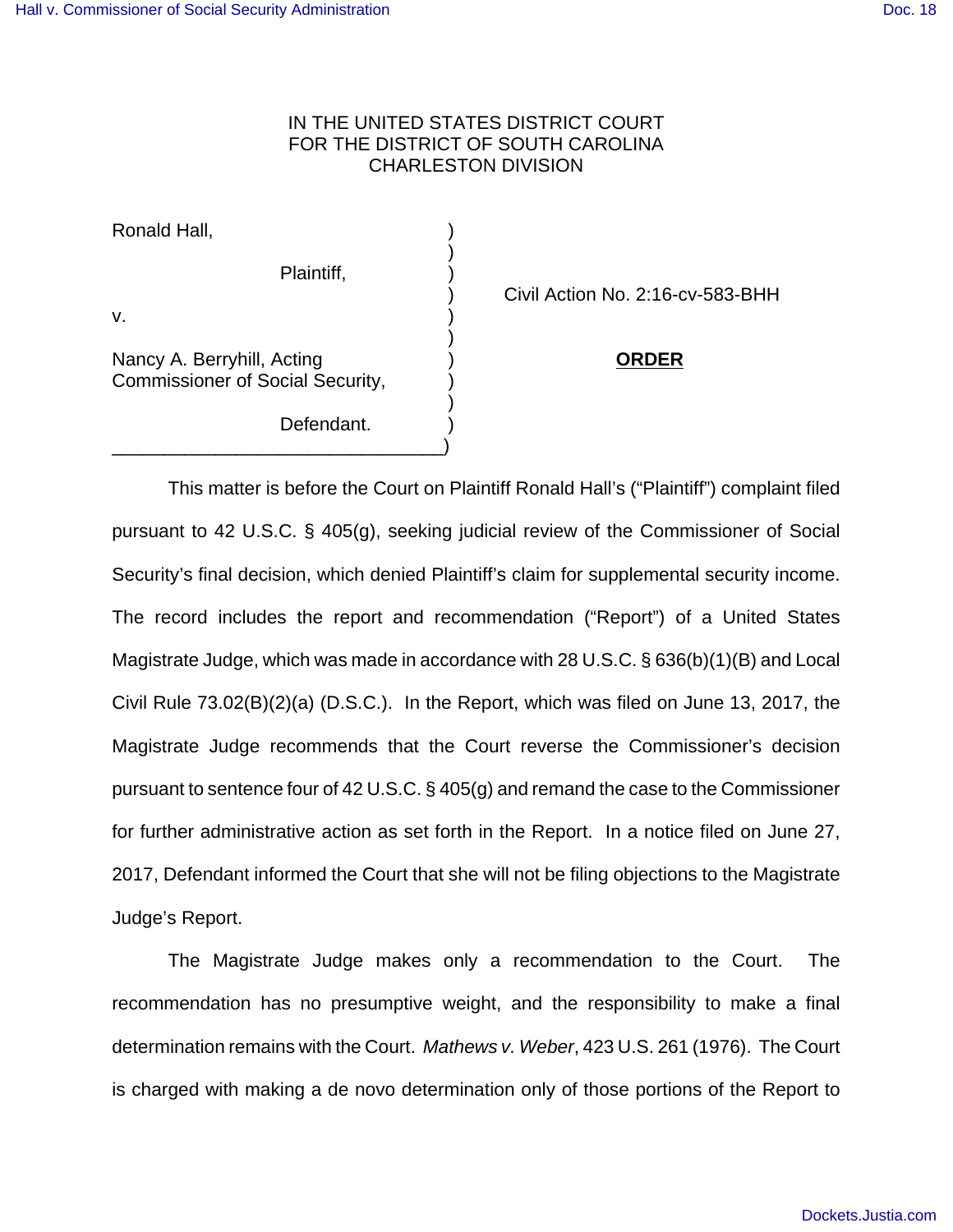## IN THE UNITED STATES DISTRICT COURT FOR THE DISTRICT OF SOUTH CAROLINA CHARLESTON DIVISION

)

)

)

Ronald Hall, )

Plaintiff, )

v.  $\qquad \qquad \qquad$ 

Nancy A. Berryhill, Acting ) **ORDER** Commissioner of Social Security, )

\_\_\_\_\_\_\_\_\_\_\_\_\_\_\_\_\_\_\_\_\_\_\_\_\_\_\_\_\_\_\_\_)

Defendant.

) Civil Action No. 2:16-cv-583-BHH

This matter is before the Court on Plaintiff Ronald Hall's ("Plaintiff") complaint filed pursuant to 42 U.S.C. § 405(g), seeking judicial review of the Commissioner of Social Security's final decision, which denied Plaintiff's claim for supplemental security income. The record includes the report and recommendation ("Report") of a United States Magistrate Judge, which was made in accordance with 28 U.S.C. § 636(b)(1)(B) and Local Civil Rule 73.02(B)(2)(a) (D.S.C.). In the Report, which was filed on June 13, 2017, the Magistrate Judge recommends that the Court reverse the Commissioner's decision pursuant to sentence four of 42 U.S.C. § 405(g) and remand the case to the Commissioner for further administrative action as set forth in the Report. In a notice filed on June 27, 2017, Defendant informed the Court that she will not be filing objections to the Magistrate Judge's Report.

The Magistrate Judge makes only a recommendation to the Court. The recommendation has no presumptive weight, and the responsibility to make a final determination remains with the Court. Mathews v. Weber, 423 U.S. 261 (1976). The Court is charged with making a de novo determination only of those portions of the Report to